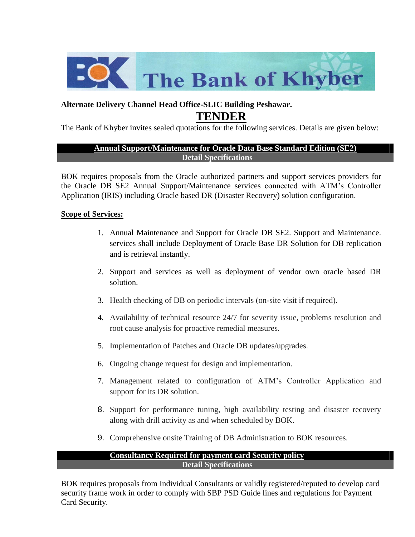

## **Alternate Delivery Channel Head Office-SLIC Building Peshawar. TENDER**

The Bank of Khyber invites sealed quotations for the following services. Details are given below:

### **Annual Support/Maintenance for Oracle Data Base Standard Edition (SE2) Detail Specifications**

BOK requires proposals from the Oracle authorized partners and support services providers for the Oracle DB SE2 Annual Support/Maintenance services connected with ATM's Controller Application (IRIS) including Oracle based DR (Disaster Recovery) solution configuration.

### **Scope of Services:**

- 1. Annual Maintenance and Support for Oracle DB SE2. Support and Maintenance. services shall include Deployment of Oracle Base DR Solution for DB replication and is retrieval instantly.
- 2. Support and services as well as deployment of vendor own oracle based DR solution.
- 3. Health checking of DB on periodic intervals (on-site visit if required).
- 4. Availability of technical resource 24/7 for severity issue, problems resolution and root cause analysis for proactive remedial measures.
- 5. Implementation of Patches and Oracle DB updates/upgrades.
- 6. Ongoing change request for design and implementation.
- 7. Management related to configuration of ATM's Controller Application and support for its DR solution.
- 8. Support for performance tuning, high availability testing and disaster recovery along with drill activity as and when scheduled by BOK.
- 9. Comprehensive onsite Training of DB Administration to BOK resources.

#### **Consultancy Required for payment card Security policy Detail Specifications**

BOK requires proposals from Individual Consultants or validly registered/reputed to develop card security frame work in order to comply with SBP PSD Guide lines and regulations for Payment Card Security.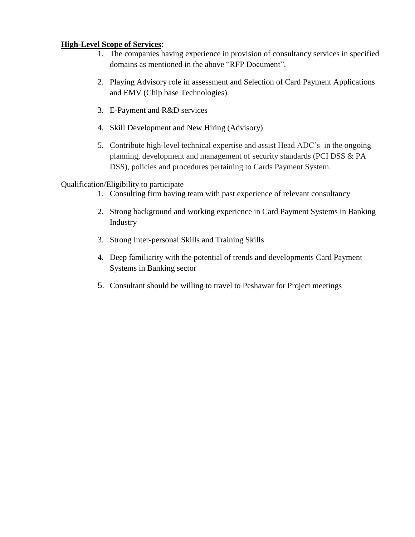### **High-Level Scope of Services**:

- 1. The companies having experience in provision of consultancy services in specified domains as mentioned in the above "RFP Document".
- 2. Playing Advisory role in assessment and Selection of Card Payment Applications and EMV (Chip base Technologies).
- 3. E-Payment and R&D services
- 4. Skill Development and New Hiring (Advisory)
- 5. Contribute high-level technical expertise and assist Head ADC's in the ongoing planning, development and management of security standards (PCI DSS & PA DSS), policies and procedures pertaining to Cards Payment System.

### Qualification/Eligibility to participate

- 1. Consulting firm having team with past experience of relevant consultancy
- 2. Strong background and working experience in Card Payment Systems in Banking Industry
- 3. Strong Inter-personal Skills and Training Skills
- 4. Deep familiarity with the potential of trends and developments Card Payment Systems in Banking sector
- 5. Consultant should be willing to travel to Peshawar for Project meetings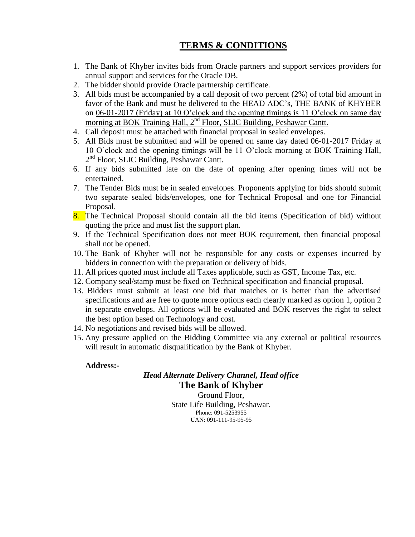# **TERMS & CONDITIONS**

- 1. The Bank of Khyber invites bids from Oracle partners and support services providers for annual support and services for the Oracle DB.
- 2. The bidder should provide Oracle partnership certificate.
- 3. All bids must be accompanied by a call deposit of two percent (2%) of total bid amount in favor of the Bank and must be delivered to the HEAD ADC's, THE BANK of KHYBER on 06-01-2017 (Friday) at 10 O'clock and the opening timings is 11 O'clock on same day morning at BOK Training Hall, 2<sup>nd</sup> Floor, SLIC Building, Peshawar Cantt.
- 4. Call deposit must be attached with financial proposal in sealed envelopes.
- 5. All Bids must be submitted and will be opened on same day dated 06-01-2017 Friday at 10 O'clock and the opening timings will be 11 O'clock morning at BOK Training Hall, 2<sup>nd</sup> Floor, SLIC Building, Peshawar Cantt.
- 6. If any bids submitted late on the date of opening after opening times will not be entertained.
- 7. The Tender Bids must be in sealed envelopes. Proponents applying for bids should submit two separate sealed bids/envelopes, one for Technical Proposal and one for Financial Proposal.
- 8. The Technical Proposal should contain all the bid items (Specification of bid) without quoting the price and must list the support plan.
- 9. If the Technical Specification does not meet BOK requirement, then financial proposal shall not be opened.
- 10. The Bank of Khyber will not be responsible for any costs or expenses incurred by bidders in connection with the preparation or delivery of bids.
- 11. All prices quoted must include all Taxes applicable, such as GST, Income Tax, etc.
- 12. Company seal/stamp must be fixed on Technical specification and financial proposal.
- 13. Bidders must submit at least one bid that matches or is better than the advertised specifications and are free to quote more options each clearly marked as option 1, option 2 in separate envelops. All options will be evaluated and BOK reserves the right to select the best option based on Technology and cost.
- 14. No negotiations and revised bids will be allowed.
- 15. Any pressure applied on the Bidding Committee via any external or political resources will result in automatic disqualification by the Bank of Khyber.

#### **Address:-**

# *Head Alternate Delivery Channel, Head office* **The Bank of Khyber**

Ground Floor, State Life Building, Peshawar. Phone: 091-5253955 UAN: 091-111-95-95-95